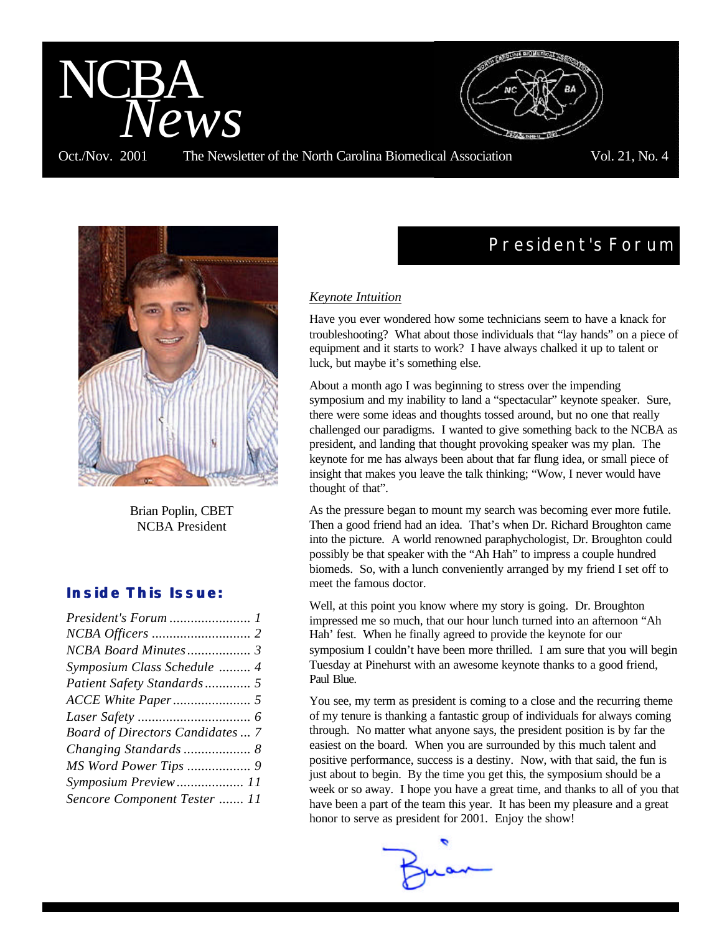



Brian Poplin, CBET NCBA President

# *Inside This Issue:*

| President's Forum  1                   |  |
|----------------------------------------|--|
|                                        |  |
|                                        |  |
| Symposium Class Schedule  4            |  |
| Patient Safety Standards 5             |  |
|                                        |  |
|                                        |  |
| <b>Board of Directors Candidates 7</b> |  |
|                                        |  |
|                                        |  |
| Symposium Preview 11                   |  |
| Sencore Component Tester  11           |  |

# **President's Forum**

#### *Keynote Intuition*

Have you ever wondered how some technicians seem to have a knack for troubleshooting? What about those individuals that "lay hands" on a piece of equipment and it starts to work? I have always chalked it up to talent or luck, but maybe it's something else.

About a month ago I was beginning to stress over the impending symposium and my inability to land a "spectacular" keynote speaker. Sure, there were some ideas and thoughts tossed around, but no one that really challenged our paradigms. I wanted to give something back to the NCBA as president, and landing that thought provoking speaker was my plan. The keynote for me has always been about that far flung idea, or small piece of insight that makes you leave the talk thinking; "Wow, I never would have thought of that".

As the pressure began to mount my search was becoming ever more futile. Then a good friend had an idea. That's when Dr. Richard Broughton came into the picture. A world renowned paraphychologist, Dr. Broughton could possibly be that speaker with the "Ah Hah" to impress a couple hundred biomeds. So, with a lunch conveniently arranged by my friend I set off to meet the famous doctor.

Well, at this point you know where my story is going. Dr. Broughton impressed me so much, that our hour lunch turned into an afternoon "Ah Hah' fest. When he finally agreed to provide the keynote for our symposium I couldn't have been more thrilled. I am sure that you will begin Tuesday at Pinehurst with an awesome keynote thanks to a good friend, Paul Blue.

You see, my term as president is coming to a close and the recurring theme of my tenure is thanking a fantastic group of individuals for always coming through. No matter what anyone says, the president position is by far the easiest on the board. When you are surrounded by this much talent and positive performance, success is a destiny. Now, with that said, the fun is just about to begin. By the time you get this, the symposium should be a week or so away. I hope you have a great time, and thanks to all of you that have been a part of the team this year. It has been my pleasure and a great honor to serve as president for 2001. Enjoy the show!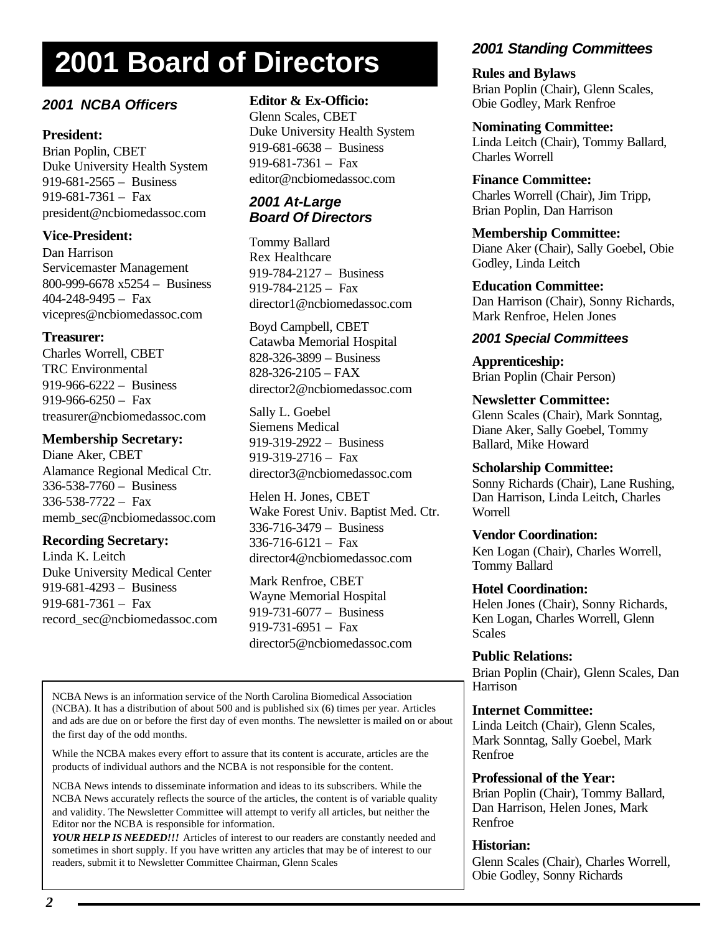# **2001 Board of Directors**

# *2001 NCBA Officers*

# **President:**

Brian Poplin, CBET Duke University Health System 919-681-2565 – Business 919-681-7361 – Fax president@ncbiomedassoc.com

# **Vice-President:**

Dan Harrison Servicemaster Management 800-999-6678 x5254 – Business 404-248-9495 – Fax vicepres@ncbiomedassoc.com

# **Treasurer:**

Charles Worrell, CBET TRC Environmental 919-966-6222 – Business  $919-966-6250 - \text{Fax}$ treasurer@ncbiomedassoc.com

### **Membership Secretary:**

Diane Aker, CBET Alamance Regional Medical Ctr. 336-538-7760 – Business 336-538-7722 – Fax memb\_sec@ncbiomedassoc.com

# **Recording Secretary:**

Linda K. Leitch Duke University Medical Center 919-681-4293 – Business 919-681-7361 – Fax record\_sec@ncbiomedassoc.com

# **Editor & Ex-Officio:**

Glenn Scales, CBET Duke University Health System 919-681-6638 – Business 919-681-7361 – Fax editor@ncbiomedassoc.com

### *2001 At-Large Board Of Directors*

Tommy Ballard Rex Healthcare 919-784-2127 – Business 919-784-2125 – Fax director1@ncbiomedassoc.com

Boyd Campbell, CBET Catawba Memorial Hospital 828-326-3899 – Business 828-326-2105 – FAX director2@ncbiomedassoc.com

Sally L. Goebel Siemens Medical 919-319-2922 – Business  $919-319-2716 - \text{Fax}$ director3@ncbiomedassoc.com

Helen H. Jones, CBET Wake Forest Univ. Baptist Med. Ctr. 336-716-3479 – Business 336-716-6121 – Fax director4@ncbiomedassoc.com

Mark Renfroe, CBET Wayne Memorial Hospital 919-731-6077 – Business 919-731-6951 – Fax director5@ncbiomedassoc.com

NCBA News is an information service of the North Carolina Biomedical Association (NCBA). It has a distribution of about 500 and is published six (6) times per year. Articles and ads are due on or before the first day of even months. The newsletter is mailed on or about the first day of the odd months.

While the NCBA makes every effort to assure that its content is accurate, articles are the products of individual authors and the NCBA is not responsible for the content.

NCBA News intends to disseminate information and ideas to its subscribers. While the NCBA News accurately reflects the source of the articles, the content is of variable quality and validity. The Newsletter Committee will attempt to verify all articles, but neither the Editor nor the NCBA is responsible for information.

*YOUR HELP IS NEEDED!!!* Articles of interest to our readers are constantly needed and sometimes in short supply. If you have written any articles that may be of interest to our readers, submit it to Newsletter Committee Chairman, Glenn Scales

# *2001 Standing Committees*

**Rules and Bylaws** Brian Poplin (Chair), Glenn Scales, Obie Godley, Mark Renfroe

**Nominating Committee:** Linda Leitch (Chair), Tommy Ballard, Charles Worrell

### **Finance Committee:**

Charles Worrell (Chair), Jim Tripp, Brian Poplin, Dan Harrison

**Membership Committee:** Diane Aker (Chair), Sally Goebel, Obie Godley, Linda Leitch

**Education Committee:** Dan Harrison (Chair), Sonny Richards, Mark Renfroe, Helen Jones

# *2001 Special Committees*

**Apprenticeship:** Brian Poplin (Chair Person)

**Newsletter Committee:**

Glenn Scales (Chair), Mark Sonntag, Diane Aker, Sally Goebel, Tommy Ballard, Mike Howard

#### **Scholarship Committee:**

Sonny Richards (Chair), Lane Rushing, Dan Harrison, Linda Leitch, Charles Worrell

### **Vendor Coordination:**

Ken Logan (Chair), Charles Worrell, Tommy Ballard

### **Hotel Coordination:**

Helen Jones (Chair), Sonny Richards, Ken Logan, Charles Worrell, Glenn Scales

### **Public Relations:**

Brian Poplin (Chair), Glenn Scales, Dan Harrison

### **Internet Committee:**

Linda Leitch (Chair), Glenn Scales, Mark Sonntag, Sally Goebel, Mark Renfroe

### **Professional of the Year:**

Brian Poplin (Chair), Tommy Ballard, Dan Harrison, Helen Jones, Mark Renfroe

### **Historian:**

Glenn Scales (Chair), Charles Worrell, Obie Godley, Sonny Richards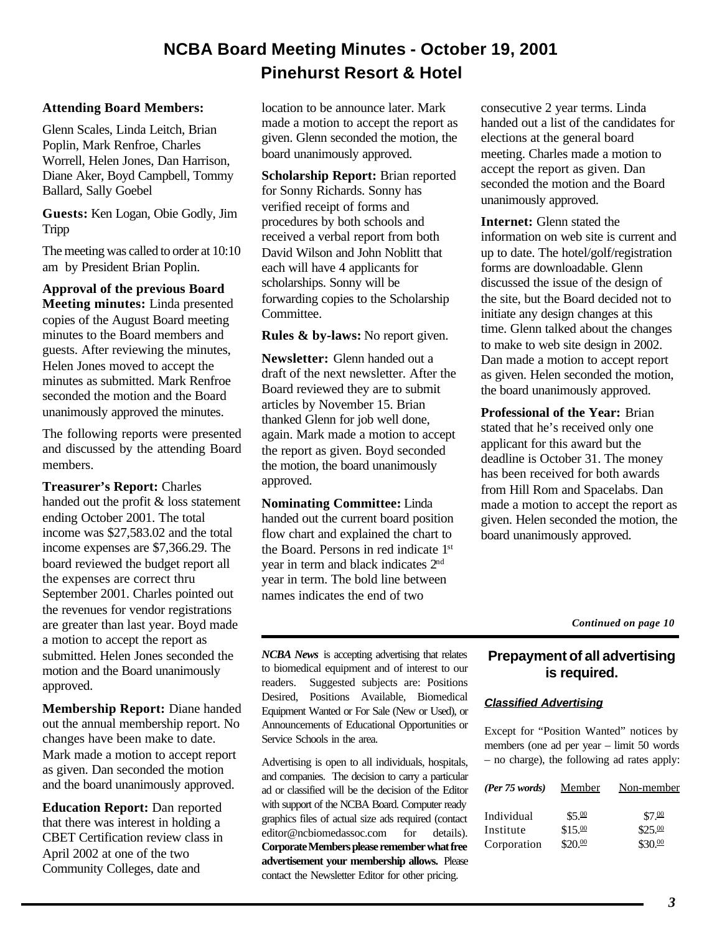# **NCBA Board Meeting Minutes - October 19, 2001 Pinehurst Resort & Hotel**

#### **Attending Board Members:**

Glenn Scales, Linda Leitch, Brian Poplin, Mark Renfroe, Charles Worrell, Helen Jones, Dan Harrison, Diane Aker, Boyd Campbell, Tommy Ballard, Sally Goebel

**Guests:** Ken Logan, Obie Godly, Jim Tripp

The meeting was called to order at 10:10 am by President Brian Poplin.

**Approval of the previous Board Meeting minutes:** Linda presented copies of the August Board meeting minutes to the Board members and guests. After reviewing the minutes, Helen Jones moved to accept the minutes as submitted. Mark Renfroe seconded the motion and the Board unanimously approved the minutes.

The following reports were presented and discussed by the attending Board members.

**Treasurer's Report:** Charles handed out the profit & loss statement ending October 2001. The total income was \$27,583.02 and the total income expenses are \$7,366.29. The board reviewed the budget report all the expenses are correct thru September 2001. Charles pointed out the revenues for vendor registrations are greater than last year. Boyd made a motion to accept the report as submitted. Helen Jones seconded the motion and the Board unanimously approved.

**Membership Report:** Diane handed out the annual membership report. No changes have been make to date. Mark made a motion to accept report as given. Dan seconded the motion and the board unanimously approved.

**Education Report:** Dan reported that there was interest in holding a CBET Certification review class in April 2002 at one of the two Community Colleges, date and

location to be announce later. Mark made a motion to accept the report as given. Glenn seconded the motion, the board unanimously approved.

**Scholarship Report:** Brian reported for Sonny Richards. Sonny has verified receipt of forms and procedures by both schools and received a verbal report from both David Wilson and John Noblitt that each will have 4 applicants for scholarships. Sonny will be forwarding copies to the Scholarship Committee.

**Rules & by-laws:** No report given.

**Newsletter:** Glenn handed out a draft of the next newsletter. After the Board reviewed they are to submit articles by November 15. Brian thanked Glenn for job well done, again. Mark made a motion to accept the report as given. Boyd seconded the motion, the board unanimously approved.

**Nominating Committee:** Linda handed out the current board position flow chart and explained the chart to the Board. Persons in red indicate 1st year in term and black indicates 2nd year in term. The bold line between names indicates the end of two

consecutive 2 year terms. Linda handed out a list of the candidates for elections at the general board meeting. Charles made a motion to accept the report as given. Dan seconded the motion and the Board unanimously approved.

**Internet:** Glenn stated the information on web site is current and up to date. The hotel/golf/registration forms are downloadable. Glenn discussed the issue of the design of the site, but the Board decided not to initiate any design changes at this time. Glenn talked about the changes to make to web site design in 2002. Dan made a motion to accept report as given. Helen seconded the motion, the board unanimously approved.

**Professional of the Year:** Brian stated that he's received only one applicant for this award but the deadline is October 31. The money has been received for both awards from Hill Rom and Spacelabs. Dan made a motion to accept the report as given. Helen seconded the motion, the board unanimously approved.

*Continued on page 10*

**Prepayment of all advertising is required.**

#### *Classified Advertising*

Except for "Position Wanted" notices by members (one ad per year – limit 50 words – no charge), the following ad rates apply:

| (Per 75 words) | Member  | Non-member          |
|----------------|---------|---------------------|
| Individual     | \$5.00  | \$7.00              |
| Institute      | \$15.00 | $$25.\overline{00}$ |
| Corporation    | \$20.00 | \$30.00             |

*NCBA News* is accepting advertising that relates to biomedical equipment and of interest to our readers. Suggested subjects are: Positions Desired, Positions Available, Biomedical Equipment Wanted or For Sale (New or Used), or Announcements of Educational Opportunities or Service Schools in the area.

Advertising is open to all individuals, hospitals, and companies. The decision to carry a particular ad or classified will be the decision of the Editor with support of the NCBA Board. Computer ready graphics files of actual size ads required (contact editor@ncbiomedassoc.com for details). **Corporate Members please remember what free advertisement your membership allows.** Please contact the Newsletter Editor for other pricing.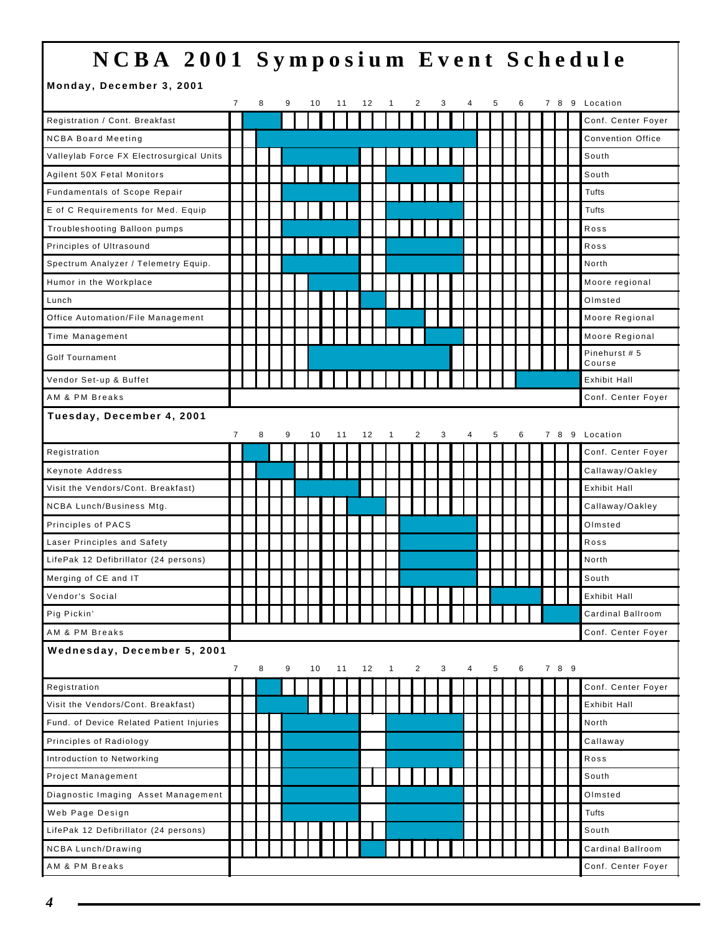# **NCBA 2001 Symposium Event Schedule**

#### **Monday, December 3, 2001**

|                                          | $\overline{7}$ | 8 | 9 | 10 | 11 | 12 |              | 2              | 3 | 4 | 5 | 6 |  |       | 7 8 9 Location           |
|------------------------------------------|----------------|---|---|----|----|----|--------------|----------------|---|---|---|---|--|-------|--------------------------|
| Registration / Cont. Breakfast           |                |   |   |    |    |    |              |                |   |   |   |   |  |       | Conf. Center Foyer       |
| <b>NCBA Board Meeting</b>                |                |   |   |    |    |    |              |                |   |   |   |   |  |       | <b>Convention Office</b> |
| Valleylab Force FX Electrosurgical Units |                |   |   |    |    |    |              |                |   |   |   |   |  |       | South                    |
| Agilent 50X Fetal Monitors               |                |   |   |    |    |    |              |                |   |   |   |   |  |       | South                    |
| Fundamentals of Scope Repair             |                |   |   |    |    |    |              |                |   |   |   |   |  |       | Tufts                    |
| E of C Requirements for Med. Equip       |                |   |   |    |    |    |              |                |   |   |   |   |  |       | Tufts                    |
| Troubleshooting Balloon pumps            |                |   |   |    |    |    |              |                |   |   |   |   |  |       | Ross                     |
| Principles of Ultrasound                 |                |   |   |    |    |    |              |                |   |   |   |   |  |       | Ross                     |
| Spectrum Analyzer / Telemetry Equip.     |                |   |   |    |    |    |              |                |   |   |   |   |  |       | North                    |
| Humor in the Workplace                   |                |   |   |    |    |    |              |                |   |   |   |   |  |       | Moore regional           |
| Lunch                                    |                |   |   |    |    |    |              |                |   |   |   |   |  |       | Olmsted                  |
| Office Automation/File Management        |                |   |   |    |    |    |              |                |   |   |   |   |  |       | Moore Regional           |
| Time Management                          |                |   |   |    |    |    |              |                |   |   |   |   |  |       | Moore Regional           |
| <b>Golf Tournament</b>                   |                |   |   |    |    |    |              |                |   |   |   |   |  |       | Pinehurst #5<br>Course   |
| Vendor Set-up & Buffet                   |                |   |   |    |    |    |              |                |   |   |   |   |  |       | <b>Exhibit Hall</b>      |
| AM & PM Breaks                           |                |   |   |    |    |    |              |                |   |   |   |   |  |       | Conf. Center Foyer       |
| Tuesday, December 4, 2001                | $\overline{7}$ | 8 | 9 | 10 | 11 | 12 | 1            | 2              | 3 | 4 | 5 | 6 |  | 7 8   | 9 Location               |
| Registration                             |                |   |   |    |    |    |              |                |   |   |   |   |  |       | Conf. Center Foyer       |
| Keynote Address                          |                |   |   |    |    |    |              |                |   |   |   |   |  |       | Callaway/Oakley          |
| Visit the Vendors/Cont. Breakfast)       |                |   |   |    |    |    |              |                |   |   |   |   |  |       | <b>Exhibit Hall</b>      |
| NCBA Lunch/Business Mtg.                 |                |   |   |    |    |    |              |                |   |   |   |   |  |       | Callaway/Oakley          |
| Principles of PACS                       |                |   |   |    |    |    |              |                |   |   |   |   |  |       | Olmsted                  |
| Laser Principles and Safety              |                |   |   |    |    |    |              |                |   |   |   |   |  |       | Ross                     |
| LifePak 12 Defibrillator (24 persons)    |                |   |   |    |    |    |              |                |   |   |   |   |  |       | North                    |
| Merging of CE and IT                     |                |   |   |    |    |    |              |                |   |   |   |   |  |       | South                    |
| Vendor's Social                          |                |   |   |    |    |    |              |                |   |   |   |   |  |       | Exhibit Hall             |
| Pig Pickin'                              |                |   |   |    |    |    |              |                |   |   |   |   |  |       | Cardinal Ballroom        |
| AM & PM Breaks                           |                |   |   |    |    |    |              |                |   |   |   |   |  |       | Conf. Center Foyer       |
| Wednesday, December 5, 2001              | $\overline{7}$ | 8 | 9 | 10 | 11 | 12 | $\mathbf{1}$ | $\overline{2}$ | 3 | 4 | 5 | 6 |  | 7 8 9 |                          |
| Registration                             |                |   |   |    |    |    |              |                |   |   |   |   |  |       | Conf. Center Foyer       |
| Visit the Vendors/Cont. Breakfast)       |                |   |   |    |    |    |              |                |   |   |   |   |  |       | Exhibit Hall             |
| Fund. of Device Related Patient Injuries |                |   |   |    |    |    |              |                |   |   |   |   |  |       | North                    |
| Principles of Radiology                  |                |   |   |    |    |    |              |                |   |   |   |   |  |       | Callaway                 |
| Introduction to Networking               |                |   |   |    |    |    |              |                |   |   |   |   |  |       | Ross                     |
| Project Management                       |                |   |   |    |    |    |              |                |   |   |   |   |  |       | South                    |
| Diagnostic Imaging Asset Management      |                |   |   |    |    |    |              |                |   |   |   |   |  |       | Olmsted                  |
| Web Page Design                          |                |   |   |    |    |    |              |                |   |   |   |   |  |       | Tufts                    |
| LifePak 12 Defibrillator (24 persons)    |                |   |   |    |    |    |              |                |   |   |   |   |  |       | South                    |
| <b>NCBA Lunch/Drawing</b>                |                |   |   |    |    |    |              |                |   |   |   |   |  |       | Cardinal Ballroom        |
| AM & PM Breaks                           |                |   |   |    |    |    |              |                |   |   |   |   |  |       | Conf. Center Foyer       |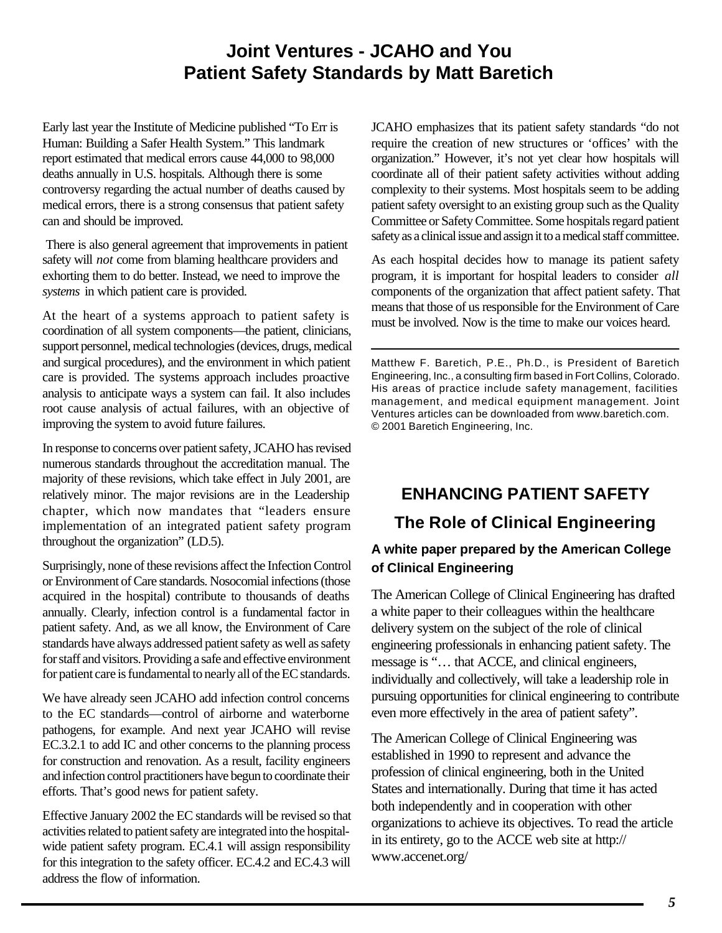# **Joint Ventures - JCAHO and You Patient Safety Standards by Matt Baretich**

Early last year the Institute of Medicine published "To Err is Human: Building a Safer Health System." This landmark report estimated that medical errors cause 44,000 to 98,000 deaths annually in U.S. hospitals. Although there is some controversy regarding the actual number of deaths caused by medical errors, there is a strong consensus that patient safety can and should be improved.

 There is also general agreement that improvements in patient safety will *not* come from blaming healthcare providers and exhorting them to do better. Instead, we need to improve the *systems* in which patient care is provided.

At the heart of a systems approach to patient safety is coordination of all system components—the patient, clinicians, support personnel, medical technologies (devices, drugs, medical and surgical procedures), and the environment in which patient care is provided. The systems approach includes proactive analysis to anticipate ways a system can fail. It also includes root cause analysis of actual failures, with an objective of improving the system to avoid future failures.

In response to concerns over patient safety, JCAHO has revised numerous standards throughout the accreditation manual. The majority of these revisions, which take effect in July 2001, are relatively minor. The major revisions are in the Leadership chapter, which now mandates that "leaders ensure implementation of an integrated patient safety program throughout the organization" (LD.5).

Surprisingly, none of these revisions affect the Infection Control or Environment of Care standards. Nosocomial infections (those acquired in the hospital) contribute to thousands of deaths annually. Clearly, infection control is a fundamental factor in patient safety. And, as we all know, the Environment of Care standards have always addressed patient safety as well as safety for staff and visitors. Providing a safe and effective environment for patient care is fundamental to nearly all of the EC standards.

We have already seen JCAHO add infection control concerns to the EC standards—control of airborne and waterborne pathogens, for example. And next year JCAHO will revise EC.3.2.1 to add IC and other concerns to the planning process for construction and renovation. As a result, facility engineers and infection control practitioners have begun to coordinate their efforts. That's good news for patient safety.

Effective January 2002 the EC standards will be revised so that activities related to patient safety are integrated into the hospitalwide patient safety program. EC.4.1 will assign responsibility for this integration to the safety officer. EC.4.2 and EC.4.3 will address the flow of information.

JCAHO emphasizes that its patient safety standards "do not require the creation of new structures or 'offices' with the organization." However, it's not yet clear how hospitals will coordinate all of their patient safety activities without adding complexity to their systems. Most hospitals seem to be adding patient safety oversight to an existing group such as the Quality Committee or Safety Committee. Some hospitals regard patient safety as a clinical issue and assign it to a medical staff committee.

As each hospital decides how to manage its patient safety program, it is important for hospital leaders to consider *all* components of the organization that affect patient safety. That means that those of us responsible for the Environment of Care must be involved. Now is the time to make our voices heard.

Matthew F. Baretich, P.E., Ph.D., is President of Baretich Engineering, Inc., a consulting firm based in Fort Collins, Colorado. His areas of practice include safety management, facilities management, and medical equipment management. Joint Ventures articles can be downloaded from www.baretich.com. © 2001 Baretich Engineering, Inc.

# **ENHANCING PATIENT SAFETY The Role of Clinical Engineering A white paper prepared by the American College of Clinical Engineering**

The American College of Clinical Engineering has drafted a white paper to their colleagues within the healthcare delivery system on the subject of the role of clinical engineering professionals in enhancing patient safety. The message is "… that ACCE, and clinical engineers, individually and collectively, will take a leadership role in pursuing opportunities for clinical engineering to contribute even more effectively in the area of patient safety".

The American College of Clinical Engineering was established in 1990 to represent and advance the profession of clinical engineering, both in the United States and internationally. During that time it has acted both independently and in cooperation with other organizations to achieve its objectives. To read the article in its entirety, go to the ACCE web site at http:// www.accenet.org/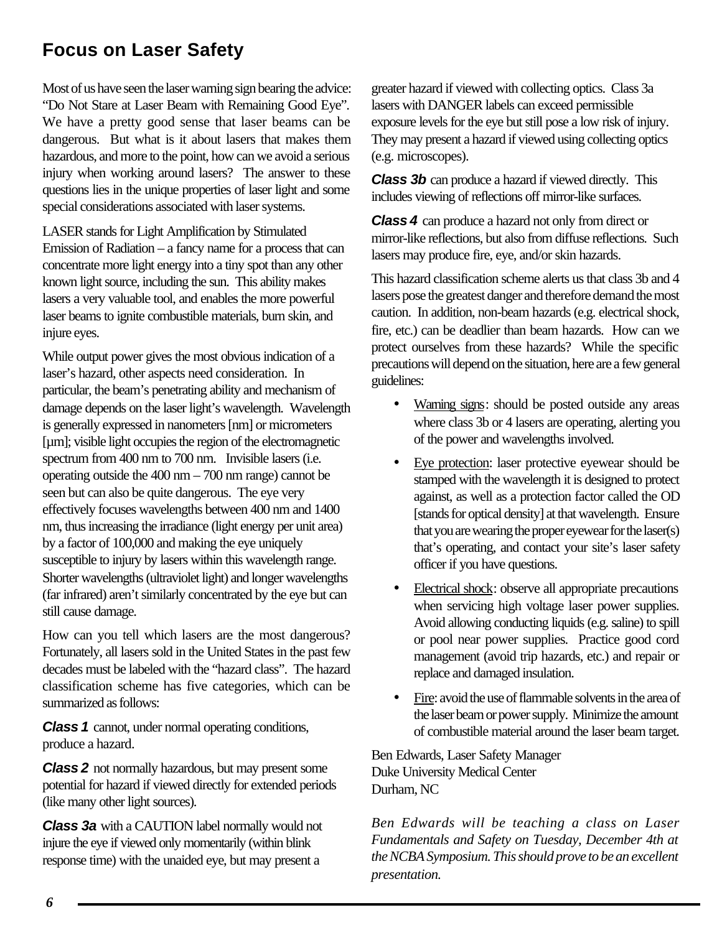# **Focus on Laser Safety**

Most of us have seen the laser warning sign bearing the advice: "Do Not Stare at Laser Beam with Remaining Good Eye". We have a pretty good sense that laser beams can be dangerous. But what is it about lasers that makes them hazardous, and more to the point, how can we avoid a serious injury when working around lasers? The answer to these questions lies in the unique properties of laser light and some special considerations associated with laser systems.

LASER stands for Light Amplification by Stimulated Emission of Radiation – a fancy name for a process that can concentrate more light energy into a tiny spot than any other known light source, including the sun. This ability makes lasers a very valuable tool, and enables the more powerful laser beams to ignite combustible materials, burn skin, and injure eyes.

While output power gives the most obvious indication of a laser's hazard, other aspects need consideration. In particular, the beam's penetrating ability and mechanism of damage depends on the laser light's wavelength. Wavelength is generally expressed in nanometers [nm] or micrometers [µm]; visible light occupies the region of the electromagnetic spectrum from 400 nm to 700 nm. Invisible lasers (i.e. operating outside the 400 nm – 700 nm range) cannot be seen but can also be quite dangerous. The eye very effectively focuses wavelengths between 400 nm and 1400 nm, thus increasing the irradiance (light energy per unit area) by a factor of 100,000 and making the eye uniquely susceptible to injury by lasers within this wavelength range. Shorter wavelengths (ultraviolet light) and longer wavelengths (far infrared) aren't similarly concentrated by the eye but can still cause damage.

How can you tell which lasers are the most dangerous? Fortunately, all lasers sold in the United States in the past few decades must be labeled with the "hazard class". The hazard classification scheme has five categories, which can be summarized as follows:

*Class 1* cannot, under normal operating conditions, produce a hazard.

*Class 2* not normally hazardous, but may present some potential for hazard if viewed directly for extended periods (like many other light sources).

*Class 3a* with a CAUTION label normally would not injure the eye if viewed only momentarily (within blink response time) with the unaided eye, but may present a

greater hazard if viewed with collecting optics. Class 3a lasers with DANGER labels can exceed permissible exposure levels for the eye but still pose a low risk of injury. They may present a hazard if viewed using collecting optics (e.g. microscopes).

*Class 3b* can produce a hazard if viewed directly. This includes viewing of reflections off mirror-like surfaces.

*Class 4* can produce a hazard not only from direct or mirror-like reflections, but also from diffuse reflections. Such lasers may produce fire, eye, and/or skin hazards.

This hazard classification scheme alerts us that class 3b and 4 lasers pose the greatest danger and therefore demand the most caution. In addition, non-beam hazards (e.g. electrical shock, fire, etc.) can be deadlier than beam hazards. How can we protect ourselves from these hazards? While the specific precautions will depend on the situation, here are a few general guidelines:

- Warning signs: should be posted outside any areas where class 3b or 4 lasers are operating, alerting you of the power and wavelengths involved.
- Eye protection: laser protective eyewear should be stamped with the wavelength it is designed to protect against, as well as a protection factor called the OD [stands for optical density] at that wavelength. Ensure that you are wearing the proper eyewear for the laser(s) that's operating, and contact your site's laser safety officer if you have questions.
- Electrical shock: observe all appropriate precautions when servicing high voltage laser power supplies. Avoid allowing conducting liquids (e.g. saline) to spill or pool near power supplies. Practice good cord management (avoid trip hazards, etc.) and repair or replace and damaged insulation.
- Fire: avoid the use of flammable solvents in the area of the laser beam or power supply. Minimize the amount of combustible material around the laser beam target.

Ben Edwards, Laser Safety Manager Duke University Medical Center Durham, NC

*Ben Edwards will be teaching a class on Laser Fundamentals and Safety on Tuesday, December 4th at the NCBA Symposium. This should prove to be an excellent presentation.*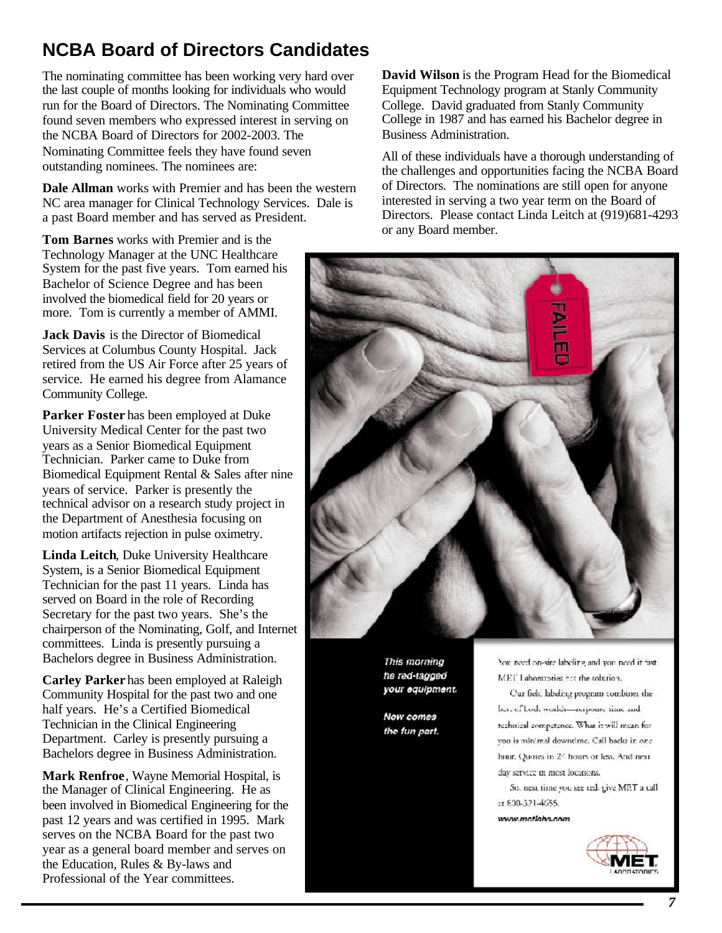# **NCBA Board of Directors Candidates**

The nominating committee has been working very hard over the last couple of months looking for individuals who would run for the Board of Directors. The Nominating Committee found seven members who expressed interest in serving on the NCBA Board of Directors for 2002-2003. The Nominating Committee feels they have found seven outstanding nominees. The nominees are:

**Dale Allman** works with Premier and has been the western NC area manager for Clinical Technology Services. Dale is a past Board member and has served as President.

**Tom Barnes** works with Premier and is the Technology Manager at the UNC Healthcare System for the past five years. Tom earned his Bachelor of Science Degree and has been involved the biomedical field for 20 years or more. Tom is currently a member of AMMI.

**Jack Davis** is the Director of Biomedical Services at Columbus County Hospital. Jack retired from the US Air Force after 25 years of service. He earned his degree from Alamance Community College.

**Parker Foster** has been employed at Duke University Medical Center for the past two years as a Senior Biomedical Equipment Technician. Parker came to Duke from Biomedical Equipment Rental & Sales after nine years of service. Parker is presently the technical advisor on a research study project in the Department of Anesthesia focusing on motion artifacts rejection in pulse oximetry.

**Linda Leitch**, Duke University Healthcare System, is a Senior Biomedical Equipment Technician for the past 11 years. Linda has served on Board in the role of Recording Secretary for the past two years. She's the chairperson of the Nominating, Golf, and Internet committees. Linda is presently pursuing a Bachelors degree in Business Administration.

**Carley Parker** has been employed at Raleigh Community Hospital for the past two and one half years. He's a Certified Biomedical Technician in the Clinical Engineering Department. Carley is presently pursuing a Bachelors degree in Business Administration.

**Mark Renfroe**, Wayne Memorial Hospital, is the Manager of Clinical Engineering. He as been involved in Biomedical Engineering for the past 12 years and was certified in 1995. Mark serves on the NCBA Board for the past two year as a general board member and serves on the Education, Rules & By-laws and Professional of the Year committees.

**David Wilson** is the Program Head for the Biomedical Equipment Technology program at Stanly Community College. David graduated from Stanly Community College in 1987 and has earned his Bachelor degree in Business Administration.

All of these individuals have a thorough understanding of the challenges and opportunities facing the NCBA Board of Directors. The nominations are still open for anyone interested in serving a two year term on the Board of Directors. Please contact Linda Leitch at (919)681-4293 or any Board member.



This morning he red-tagged your equipment.

**Now comes** the fun part.

You need on-site labeling and you need it fast. MET Laboratories has the solution.

Our field labeling program combines the best of both worlds-response time and technical competence. What it will mean for you is minimal downtime. Call backs in one hnur. Quores in 24 hours or less. And next day service in most locations.

So, next time you see red, give MET a call at 800-321-4655.

www.metiaho.com

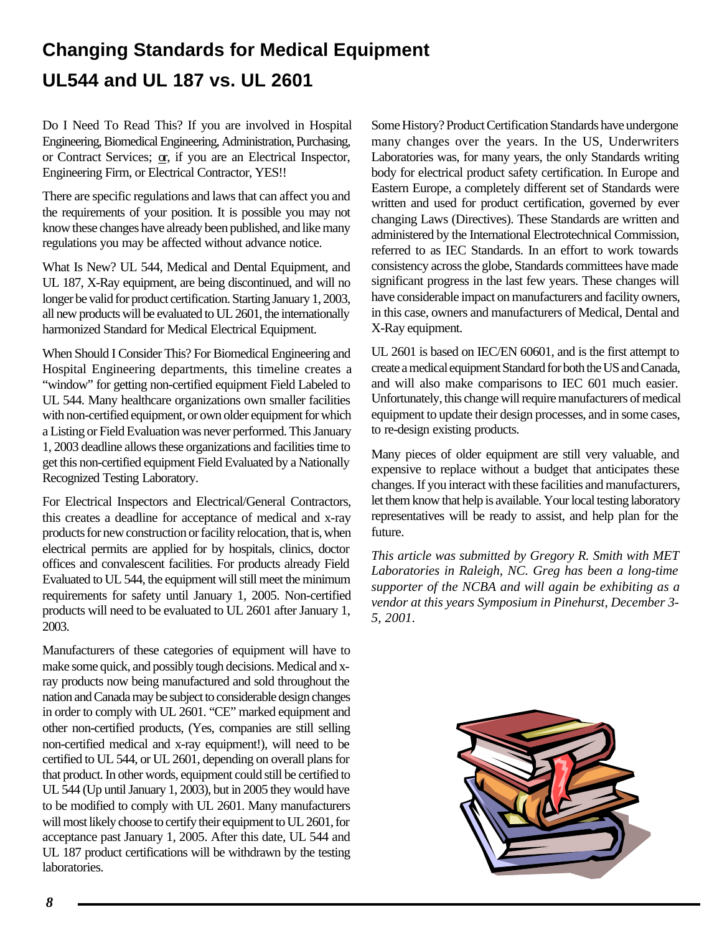# **Changing Standards for Medical Equipment UL544 and UL 187 vs. UL 2601**

Do I Need To Read This? If you are involved in Hospital Engineering, Biomedical Engineering, Administration, Purchasing, or Contract Services; or, if you are an Electrical Inspector, Engineering Firm, or Electrical Contractor, YES!!

There are specific regulations and laws that can affect you and the requirements of your position. It is possible you may not know these changes have already been published, and like many regulations you may be affected without advance notice.

What Is New? UL 544, Medical and Dental Equipment, and UL 187, X-Ray equipment, are being discontinued, and will no longer be valid for product certification. Starting January 1, 2003, all new products will be evaluated to UL 2601, the internationally harmonized Standard for Medical Electrical Equipment.

When Should I Consider This? For Biomedical Engineering and Hospital Engineering departments, this timeline creates a "window" for getting non-certified equipment Field Labeled to UL 544. Many healthcare organizations own smaller facilities with non-certified equipment, or own older equipment for which a Listing or Field Evaluation was never performed. This January 1, 2003 deadline allows these organizations and facilities time to get this non-certified equipment Field Evaluated by a Nationally Recognized Testing Laboratory.

For Electrical Inspectors and Electrical/General Contractors, this creates a deadline for acceptance of medical and x-ray products for new construction or facility relocation, that is, when electrical permits are applied for by hospitals, clinics, doctor offices and convalescent facilities. For products already Field Evaluated to UL 544, the equipment will still meet the minimum requirements for safety until January 1, 2005. Non-certified products will need to be evaluated to UL 2601 after January 1, 2003.

Manufacturers of these categories of equipment will have to make some quick, and possibly tough decisions. Medical and xray products now being manufactured and sold throughout the nation and Canada may be subject to considerable design changes in order to comply with UL 2601. "CE" marked equipment and other non-certified products, (Yes, companies are still selling non-certified medical and x-ray equipment!), will need to be certified to UL 544, or UL 2601, depending on overall plans for that product. In other words, equipment could still be certified to UL 544 (Up until January 1, 2003), but in 2005 they would have to be modified to comply with UL 2601. Many manufacturers will most likely choose to certify their equipment to UL 2601, for acceptance past January 1, 2005. After this date, UL 544 and UL 187 product certifications will be withdrawn by the testing laboratories.

Some History? Product Certification Standards have undergone many changes over the years. In the US, Underwriters Laboratories was, for many years, the only Standards writing body for electrical product safety certification. In Europe and Eastern Europe, a completely different set of Standards were written and used for product certification, governed by ever changing Laws (Directives). These Standards are written and administered by the International Electrotechnical Commission, referred to as IEC Standards. In an effort to work towards consistency across the globe, Standards committees have made significant progress in the last few years. These changes will have considerable impact on manufacturers and facility owners, in this case, owners and manufacturers of Medical, Dental and X-Ray equipment.

UL 2601 is based on IEC/EN 60601, and is the first attempt to create a medical equipment Standard for both the US and Canada, and will also make comparisons to IEC 601 much easier. Unfortunately, this change will require manufacturers of medical equipment to update their design processes, and in some cases, to re-design existing products.

Many pieces of older equipment are still very valuable, and expensive to replace without a budget that anticipates these changes. If you interact with these facilities and manufacturers, let them know that help is available. Your local testing laboratory representatives will be ready to assist, and help plan for the future.

*This article was submitted by Gregory R. Smith with MET Laboratories in Raleigh, NC. Greg has been a long-time supporter of the NCBA and will again be exhibiting as a vendor at this years Symposium in Pinehurst, December 3- 5, 2001.*

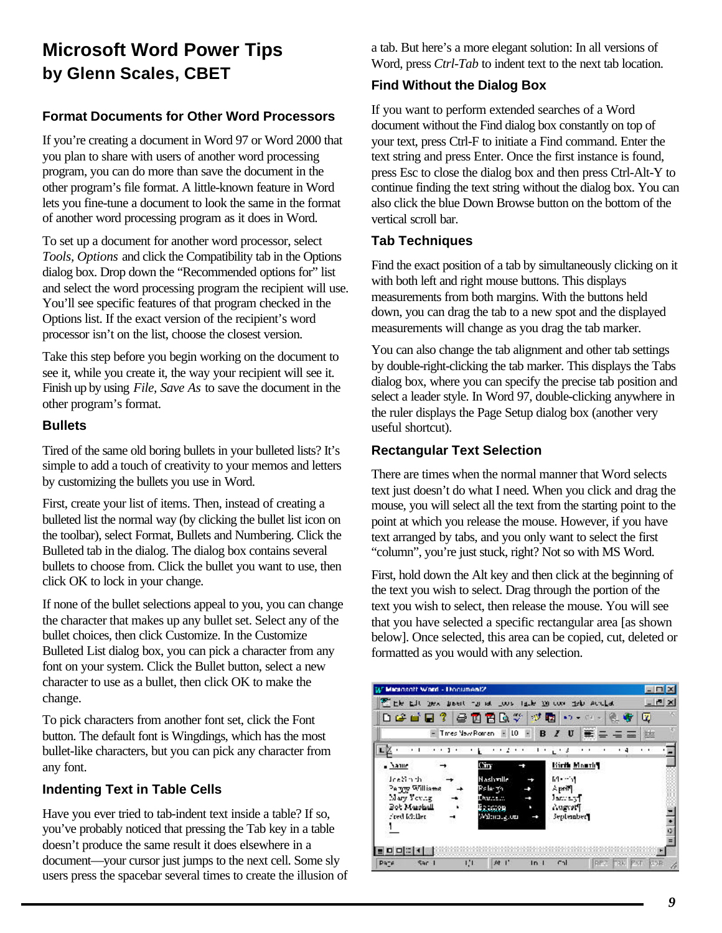# **Microsoft Word Power Tips by Glenn Scales, CBET**

# **Format Documents for Other Word Processors**

If you're creating a document in Word 97 or Word 2000 that you plan to share with users of another word processing program, you can do more than save the document in the other program's file format. A little-known feature in Word lets you fine-tune a document to look the same in the format of another word processing program as it does in Word.

To set up a document for another word processor, select *Tools, Options* and click the Compatibility tab in the Options dialog box. Drop down the "Recommended options for" list and select the word processing program the recipient will use. You'll see specific features of that program checked in the Options list. If the exact version of the recipient's word processor isn't on the list, choose the closest version.

Take this step before you begin working on the document to see it, while you create it, the way your recipient will see it. Finish up by using *File, Save As* to save the document in the other program's format.

### **Bullets**

Tired of the same old boring bullets in your bulleted lists? It's simple to add a touch of creativity to your memos and letters by customizing the bullets you use in Word.

First, create your list of items. Then, instead of creating a bulleted list the normal way (by clicking the bullet list icon on the toolbar), select Format, Bullets and Numbering. Click the Bulleted tab in the dialog. The dialog box contains several bullets to choose from. Click the bullet you want to use, then click OK to lock in your change.

If none of the bullet selections appeal to you, you can change the character that makes up any bullet set. Select any of the bullet choices, then click Customize. In the Customize Bulleted List dialog box, you can pick a character from any font on your system. Click the Bullet button, select a new character to use as a bullet, then click OK to make the change.

To pick characters from another font set, click the Font button. The default font is Wingdings, which has the most bullet-like characters, but you can pick any character from any font.

# **Indenting Text in Table Cells**

Have you ever tried to tab-indent text inside a table? If so, you've probably noticed that pressing the Tab key in a table doesn't produce the same result it does elsewhere in a document—your cursor just jumps to the next cell. Some sly users press the spacebar several times to create the illusion of a tab. But here's a more elegant solution: In all versions of Word, press *Ctrl-Tab* to indent text to the next tab location.

# **Find Without the Dialog Box**

If you want to perform extended searches of a Word document without the Find dialog box constantly on top of your text, press Ctrl-F to initiate a Find command. Enter the text string and press Enter. Once the first instance is found, press Esc to close the dialog box and then press Ctrl-Alt-Y to continue finding the text string without the dialog box. You can also click the blue Down Browse button on the bottom of the vertical scroll bar.

# **Tab Techniques**

Find the exact position of a tab by simultaneously clicking on it with both left and right mouse buttons. This displays measurements from both margins. With the buttons held down, you can drag the tab to a new spot and the displayed measurements will change as you drag the tab marker.

You can also change the tab alignment and other tab settings by double-right-clicking the tab marker. This displays the Tabs dialog box, where you can specify the precise tab position and select a leader style. In Word 97, double-clicking anywhere in the ruler displays the Page Setup dialog box (another very useful shortcut).

# **Rectangular Text Selection**

There are times when the normal manner that Word selects text just doesn't do what I need. When you click and drag the mouse, you will select all the text from the starting point to the point at which you release the mouse. However, if you have text arranged by tabs, and you only want to select the first "column", you're just stuck, right? Not so with MS Word.

First, hold down the Alt key and then click at the beginning of the text you wish to select. Drag through the portion of the text you wish to select, then release the mouse. You will see that you have selected a specific rectangular area [as shown below]. Once selected, this area can be copied, cut, deleted or formatted as you would with any selection.

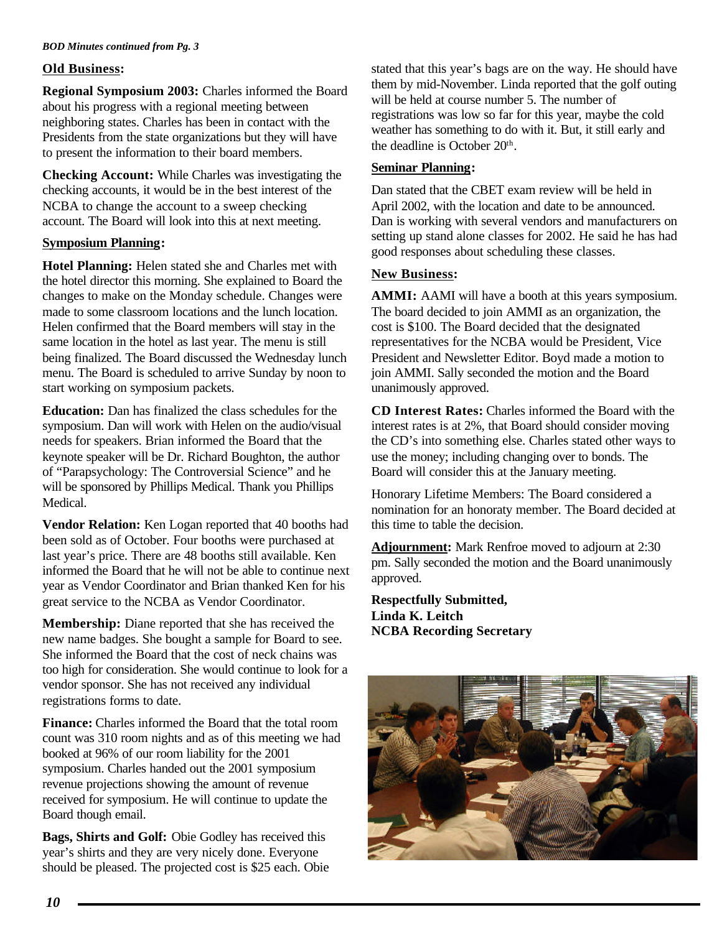#### *BOD Minutes continued from Pg. 3*

#### **Old Business:**

**Regional Symposium 2003:** Charles informed the Board about his progress with a regional meeting between neighboring states. Charles has been in contact with the Presidents from the state organizations but they will have to present the information to their board members.

**Checking Account:** While Charles was investigating the checking accounts, it would be in the best interest of the NCBA to change the account to a sweep checking account. The Board will look into this at next meeting.

#### **Symposium Planning:**

**Hotel Planning:** Helen stated she and Charles met with the hotel director this morning. She explained to Board the changes to make on the Monday schedule. Changes were made to some classroom locations and the lunch location. Helen confirmed that the Board members will stay in the same location in the hotel as last year. The menu is still being finalized. The Board discussed the Wednesday lunch menu. The Board is scheduled to arrive Sunday by noon to start working on symposium packets.

**Education:** Dan has finalized the class schedules for the symposium. Dan will work with Helen on the audio/visual needs for speakers. Brian informed the Board that the keynote speaker will be Dr. Richard Boughton, the author of "Parapsychology: The Controversial Science" and he will be sponsored by Phillips Medical. Thank you Phillips Medical.

**Vendor Relation:** Ken Logan reported that 40 booths had been sold as of October. Four booths were purchased at last year's price. There are 48 booths still available. Ken informed the Board that he will not be able to continue next year as Vendor Coordinator and Brian thanked Ken for his great service to the NCBA as Vendor Coordinator.

**Membership:** Diane reported that she has received the new name badges. She bought a sample for Board to see. She informed the Board that the cost of neck chains was too high for consideration. She would continue to look for a vendor sponsor. She has not received any individual registrations forms to date.

**Finance:** Charles informed the Board that the total room count was 310 room nights and as of this meeting we had booked at 96% of our room liability for the 2001 symposium. Charles handed out the 2001 symposium revenue projections showing the amount of revenue received for symposium. He will continue to update the Board though email.

**Bags, Shirts and Golf:** Obie Godley has received this year's shirts and they are very nicely done. Everyone should be pleased. The projected cost is \$25 each. Obie stated that this year's bags are on the way. He should have them by mid-November. Linda reported that the golf outing will be held at course number 5. The number of registrations was low so far for this year, maybe the cold weather has something to do with it. But, it still early and the deadline is October  $20<sup>th</sup>$ .

#### **Seminar Planning:**

Dan stated that the CBET exam review will be held in April 2002, with the location and date to be announced. Dan is working with several vendors and manufacturers on setting up stand alone classes for 2002. He said he has had good responses about scheduling these classes.

#### **New Business:**

**AMMI:** AAMI will have a booth at this years symposium. The board decided to join AMMI as an organization, the cost is \$100. The Board decided that the designated representatives for the NCBA would be President, Vice President and Newsletter Editor. Boyd made a motion to join AMMI. Sally seconded the motion and the Board unanimously approved.

**CD Interest Rates:** Charles informed the Board with the interest rates is at 2%, that Board should consider moving the CD's into something else. Charles stated other ways to use the money; including changing over to bonds. The Board will consider this at the January meeting.

Honorary Lifetime Members: The Board considered a nomination for an honoraty member. The Board decided at this time to table the decision.

**Adjournment:** Mark Renfroe moved to adjourn at 2:30 pm. Sally seconded the motion and the Board unanimously approved.

**Respectfully Submitted, Linda K. Leitch NCBA Recording Secretary**

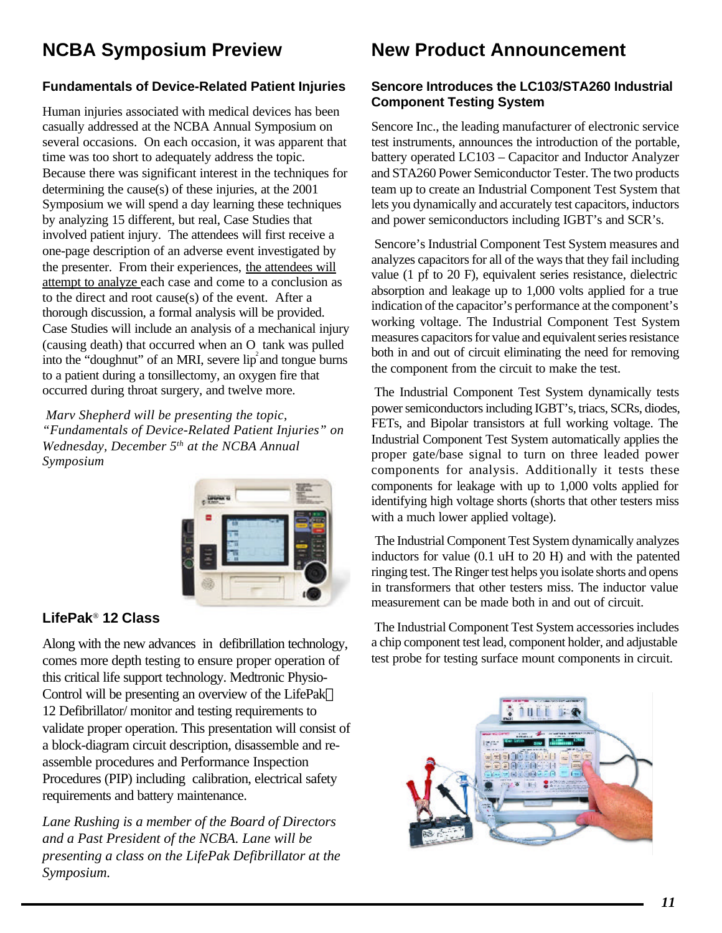# **NCBA Symposium Preview**

# **Fundamentals of Device-Related Patient Injuries**

Human injuries associated with medical devices has been casually addressed at the NCBA Annual Symposium on several occasions. On each occasion, it was apparent that time was too short to adequately address the topic. Because there was significant interest in the techniques for determining the cause(s) of these injuries, at the 2001 Symposium we will spend a day learning these techniques by analyzing 15 different, but real, Case Studies that involved patient injury. The attendees will first receive a one-page description of an adverse event investigated by the presenter. From their experiences, the attendees will attempt to analyze each case and come to a conclusion as to the direct and root cause(s) of the event. After a thorough discussion, a formal analysis will be provided. Case Studies will include an analysis of a mechanical injury (causing death) that occurred when an  $\overline{O}$  tank was pulled into the "doughnut" of an MRI, severe  $lip<sup>2</sup>$  and tongue burns to a patient during a tonsillectomy, an oxygen fire that occurred during throat surgery, and twelve more.

 *Marv Shepherd will be presenting the topic, "Fundamentals of Device-Related Patient Injuries" on Wednesday, December 5th at the NCBA Annual Symposium*



# **LifePak**® **12 Class**

Along with the new advances in defibrillation technology, comes more depth testing to ensure proper operation of this critical life support technology. Medtronic Physio-Control will be presenting an overview of the LifePak 12 Defibrillator/ monitor and testing requirements to validate proper operation. This presentation will consist of a block-diagram circuit description, disassemble and reassemble procedures and Performance Inspection Procedures (PIP) including calibration, electrical safety requirements and battery maintenance.

*Lane Rushing is a member of the Board of Directors and a Past President of the NCBA. Lane will be presenting a class on the LifePak Defibrillator at the Symposium.*

# **New Product Announcement**

### **Sencore Introduces the LC103/STA260 Industrial Component Testing System**

Sencore Inc., the leading manufacturer of electronic service test instruments, announces the introduction of the portable, battery operated LC103 – Capacitor and Inductor Analyzer and STA260 Power Semiconductor Tester. The two products team up to create an Industrial Component Test System that lets you dynamically and accurately test capacitors, inductors and power semiconductors including IGBT's and SCR's.

 Sencore's Industrial Component Test System measures and analyzes capacitors for all of the ways that they fail including value (1 pf to 20 F), equivalent series resistance, dielectric absorption and leakage up to 1,000 volts applied for a true indication of the capacitor's performance at the component's working voltage. The Industrial Component Test System measures capacitors for value and equivalent series resistance both in and out of circuit eliminating the need for removing the component from the circuit to make the test.

 The Industrial Component Test System dynamically tests power semiconductors including IGBT's, triacs, SCRs, diodes, FETs, and Bipolar transistors at full working voltage. The Industrial Component Test System automatically applies the proper gate/base signal to turn on three leaded power components for analysis. Additionally it tests these components for leakage with up to 1,000 volts applied for identifying high voltage shorts (shorts that other testers miss with a much lower applied voltage).

The Industrial Component Test System dynamically analyzes inductors for value (0.1 uH to 20 H) and with the patented ringing test. The Ringer test helps you isolate shorts and opens in transformers that other testers miss. The inductor value measurement can be made both in and out of circuit.

 The Industrial Component Test System accessories includes a chip component test lead, component holder, and adjustable test probe for testing surface mount components in circuit.